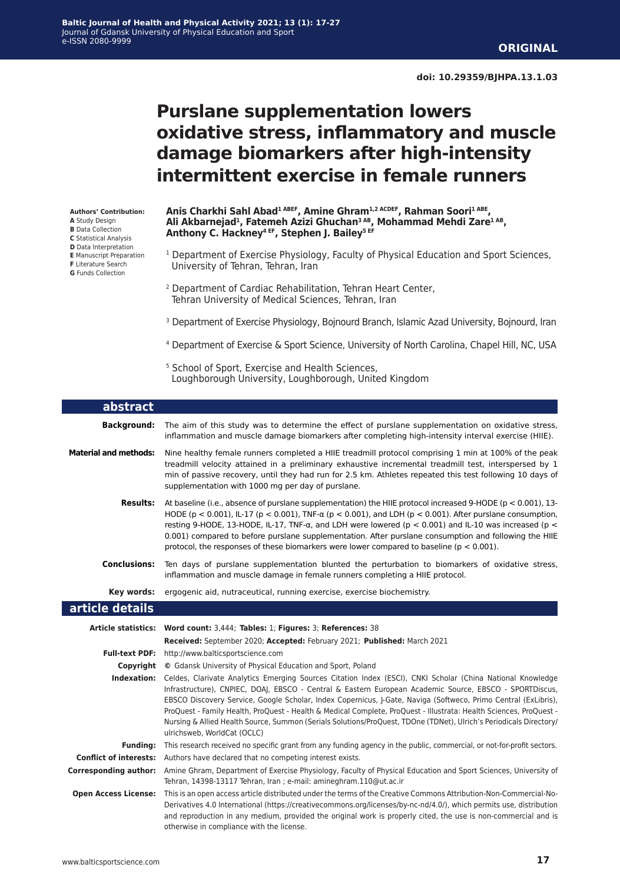# **Purslane supplementation lowers oxidative stress, inflammatory and muscle damage biomarkers after high-intensity intermittent exercise in female runners**

**Authors' Contribution: A** Study Design **B** Data Collection **C** Statistical Analysis **D** Data Interpretation **E** Manuscript Preparation

- **F** Literature Search
- **G** Funds Collection

Anis Charkhi Sahl Abad<sup>1 ABEF</sup>, Amine Ghram<sup>1,2 ACDEF</sup>, Rahman Soori<sup>1 ABE</sup>, **Ali Akbarnejad1, Fatemeh Azizi Ghuchan3 AB, Mohammad Mehdi Zare1 AB, Anthony C. Hackney4 EF, Stephen J. Bailey5 EF**

- <sup>1</sup> Department of Exercise Physiology, Faculty of Physical Education and Sport Sciences, University of Tehran, Tehran, Iran
- 2 Department of Cardiac Rehabilitation, Tehran Heart Center, Tehran University of Medical Sciences, Tehran, Iran
- <sup>3</sup> Department of Exercise Physiology, Bojnourd Branch, Islamic Azad University, Bojnourd, Iran
- 4 Department of Exercise & Sport Science, University of North Carolina, Chapel Hill, NC, USA
- <sup>5</sup> School of Sport, Exercise and Health Sciences, Loughborough University, Loughborough, United Kingdom

| abstract                                                    |                                                                                                                                                                                                                                                                                                                                                                                                                                                                                                                                                                                                                                |  |  |  |
|-------------------------------------------------------------|--------------------------------------------------------------------------------------------------------------------------------------------------------------------------------------------------------------------------------------------------------------------------------------------------------------------------------------------------------------------------------------------------------------------------------------------------------------------------------------------------------------------------------------------------------------------------------------------------------------------------------|--|--|--|
| <b>Background:</b>                                          | The aim of this study was to determine the effect of purslane supplementation on oxidative stress,<br>inflammation and muscle damage biomarkers after completing high-intensity interval exercise (HIIE).                                                                                                                                                                                                                                                                                                                                                                                                                      |  |  |  |
| <b>Material and methods:</b>                                | Nine healthy female runners completed a HIIE treadmill protocol comprising 1 min at 100% of the peak<br>treadmill velocity attained in a preliminary exhaustive incremental treadmill test, interspersed by 1<br>min of passive recovery, until they had run for 2.5 km. Athletes repeated this test following 10 days of<br>supplementation with 1000 mg per day of purslane.                                                                                                                                                                                                                                                 |  |  |  |
| <b>Results:</b>                                             | At baseline (i.e., absence of purslane supplementation) the HIIE protocol increased 9-HODE (p < 0.001), 13-<br>HODE ( $p < 0.001$ ), IL-17 ( $p < 0.001$ ), TNF- $\alpha$ ( $p < 0.001$ ), and LDH ( $p < 0.001$ ). After purslane consumption,<br>resting 9-HODE, 13-HODE, IL-17, TNF- $\alpha$ , and LDH were lowered ( $p < 0.001$ ) and IL-10 was increased ( $p <$<br>0.001) compared to before purslane supplementation. After purslane consumption and following the HIIE<br>protocol, the responses of these biomarkers were lower compared to baseline ( $p < 0.001$ ).                                               |  |  |  |
| <b>Conclusions:</b>                                         | Ten days of purslane supplementation blunted the perturbation to biomarkers of oxidative stress,<br>inflammation and muscle damage in female runners completing a HIIE protocol.                                                                                                                                                                                                                                                                                                                                                                                                                                               |  |  |  |
| Key words:                                                  | ergogenic aid, nutraceutical, running exercise, exercise biochemistry.                                                                                                                                                                                                                                                                                                                                                                                                                                                                                                                                                         |  |  |  |
| article details                                             |                                                                                                                                                                                                                                                                                                                                                                                                                                                                                                                                                                                                                                |  |  |  |
|                                                             |                                                                                                                                                                                                                                                                                                                                                                                                                                                                                                                                                                                                                                |  |  |  |
|                                                             | Article statistics: Word count: 3,444; Tables: 1; Figures: 3; References: 38<br>Received: September 2020; Accepted: February 2021; Published: March 2021                                                                                                                                                                                                                                                                                                                                                                                                                                                                       |  |  |  |
| <b>Full-text PDF:</b>                                       | http://www.balticsportscience.com                                                                                                                                                                                                                                                                                                                                                                                                                                                                                                                                                                                              |  |  |  |
| Copyright                                                   | © Gdansk University of Physical Education and Sport, Poland                                                                                                                                                                                                                                                                                                                                                                                                                                                                                                                                                                    |  |  |  |
|                                                             | Indexation: Celdes, Clarivate Analytics Emerging Sources Citation Index (ESCI), CNKI Scholar (China National Knowledge<br>Infrastructure), CNPIEC, DOAJ, EBSCO - Central & Eastern European Academic Source, EBSCO - SPORTDiscus,<br>EBSCO Discovery Service, Google Scholar, Index Copernicus, J-Gate, Naviga (Softweco, Primo Central (ExLibris),<br>ProQuest - Family Health, ProQuest - Health & Medical Complete, ProQuest - Illustrata: Health Sciences, ProQuest -<br>Nursing & Allied Health Source, Summon (Serials Solutions/ProQuest, TDOne (TDNet), Ulrich's Periodicals Directory/<br>ulrichsweb, WorldCat (OCLC) |  |  |  |
| <b>Funding:</b>                                             | This research received no specific grant from any funding agency in the public, commercial, or not-for-profit sectors.                                                                                                                                                                                                                                                                                                                                                                                                                                                                                                         |  |  |  |
| <b>Conflict of interests:</b>                               | Authors have declared that no competing interest exists.                                                                                                                                                                                                                                                                                                                                                                                                                                                                                                                                                                       |  |  |  |
| <b>Corresponding author:</b><br><b>Open Access License:</b> | Amine Ghram, Department of Exercise Physiology, Faculty of Physical Education and Sport Sciences, University of<br>Tehran, 14398-13117 Tehran, Iran ; e-mail: amineghram.110@ut.ac.ir<br>This is an open access article distributed under the terms of the Creative Commons Attribution-Non-Commercial-No-                                                                                                                                                                                                                                                                                                                     |  |  |  |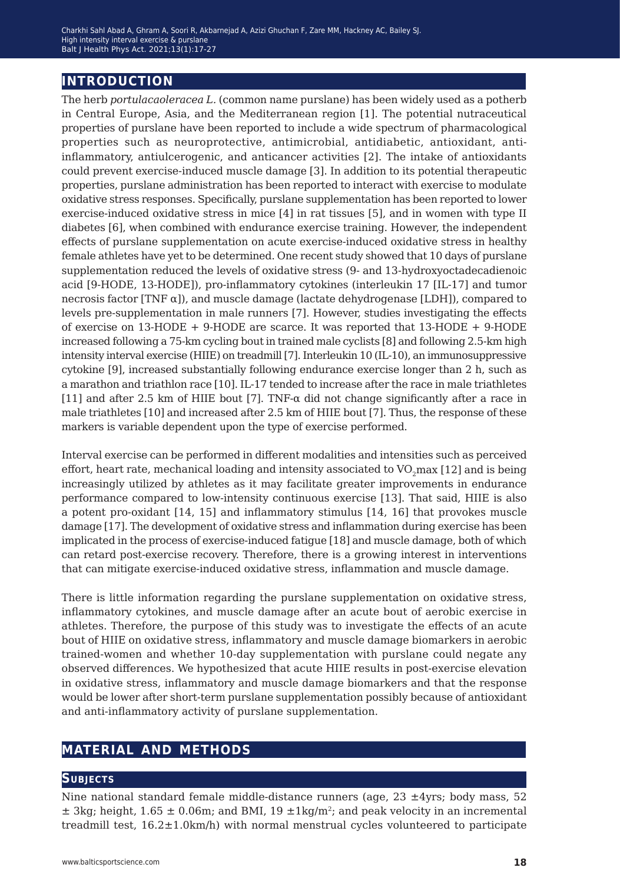## **introduction**

The herb *portulacaoleracea L.* (common name purslane) has been widely used as a potherb in Central Europe, Asia, and the Mediterranean region [1]. The potential nutraceutical properties of purslane have been reported to include a wide spectrum of pharmacological properties such as neuroprotective, antimicrobial, antidiabetic, antioxidant, antiinflammatory, antiulcerogenic, and anticancer activities [2]. The intake of antioxidants could prevent exercise-induced muscle damage [3]. In addition to its potential therapeutic properties, purslane administration has been reported to interact with exercise to modulate oxidative stress responses. Specifically, purslane supplementation has been reported to lower exercise-induced oxidative stress in mice [4] in rat tissues [5], and in women with type II diabetes [6], when combined with endurance exercise training. However, the independent effects of purslane supplementation on acute exercise-induced oxidative stress in healthy female athletes have yet to be determined. One recent study showed that 10 days of purslane supplementation reduced the levels of oxidative stress (9- and 13-hydroxyoctadecadienoic acid [9-HODE, 13-HODE]), pro-inflammatory cytokines (interleukin 17 [IL-17] and tumor necrosis factor [TNF  $\alpha$ ]), and muscle damage (lactate dehydrogenase [LDH]), compared to levels pre-supplementation in male runners [7]. However, studies investigating the effects of exercise on  $13\text{-HODE} + 9\text{-HODE}$  are scarce. It was reported that  $13\text{-HODE} + 9\text{-HODE}$ increased following a 75-km cycling bout in trained male cyclists [8] and following 2.5-km high intensity interval exercise (HIIE) on treadmill [7]. Interleukin 10 (IL-10), an immunosuppressive cytokine [9], increased substantially following endurance exercise longer than 2 h, such as a marathon and triathlon race [10]. IL-17 tended to increase after the race in male triathletes [11] and after 2.5 km of HIIE bout [7]. TNF-α did not change significantly after a race in male triathletes [10] and increased after 2.5 km of HIIE bout [7]. Thus, the response of these markers is variable dependent upon the type of exercise performed.

Interval exercise can be performed in different modalities and intensities such as perceived effort, heart rate, mechanical loading and intensity associated to  $VO<sub>2</sub>$ max [12] and is being increasingly utilized by athletes as it may facilitate greater improvements in endurance performance compared to low-intensity continuous exercise [13]. That said, HIIE is also a potent pro-oxidant [14, 15] and inflammatory stimulus [14, 16] that provokes muscle damage [17]. The development of oxidative stress and inflammation during exercise has been implicated in the process of exercise-induced fatigue [18] and muscle damage, both of which can retard post-exercise recovery. Therefore, there is a growing interest in interventions that can mitigate exercise-induced oxidative stress, inflammation and muscle damage.

There is little information regarding the purslane supplementation on oxidative stress, inflammatory cytokines, and muscle damage after an acute bout of aerobic exercise in athletes. Therefore, the purpose of this study was to investigate the effects of an acute bout of HIIE on oxidative stress, inflammatory and muscle damage biomarkers in aerobic trained-women and whether 10-day supplementation with purslane could negate any observed differences. We hypothesized that acute HIIE results in post-exercise elevation in oxidative stress, inflammatory and muscle damage biomarkers and that the response would be lower after short-term purslane supplementation possibly because of antioxidant and anti-inflammatory activity of purslane supplementation.

## **material and methods**

#### **Subjects**

Nine national standard female middle-distance runners (age,  $23 \pm 4y$ rs; body mass, 52  $\pm$  3kg; height, 1.65  $\pm$  0.06m; and BMI, 19  $\pm$ 1kg/m<sup>2</sup>; and peak velocity in an incremental treadmill test,  $16.2 \pm 1.0$ km/h) with normal menstrual cycles volunteered to participate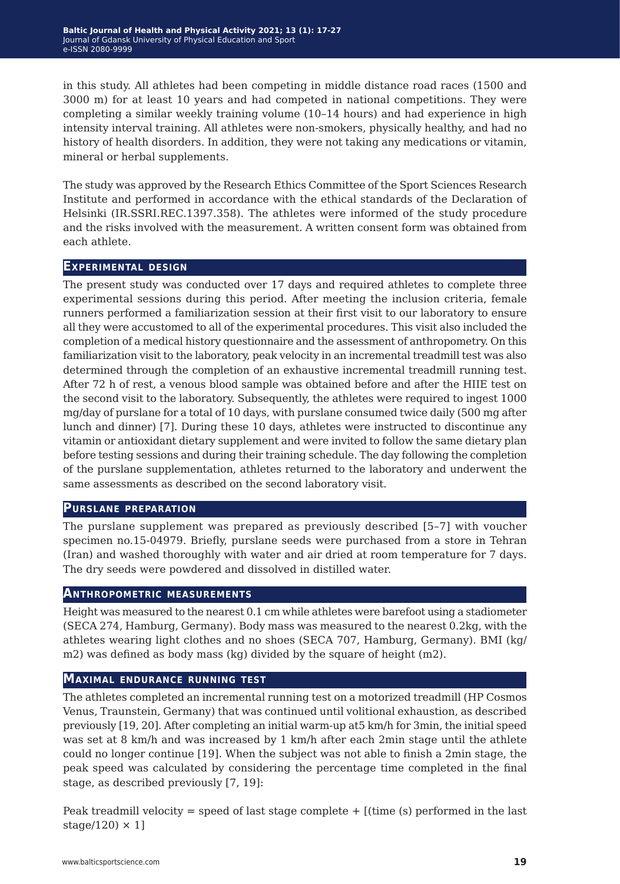in this study. All athletes had been competing in middle distance road races (1500 and 3000 m) for at least 10 years and had competed in national competitions. They were completing a similar weekly training volume (10–14 hours) and had experience in high intensity interval training. All athletes were non-smokers, physically healthy, and had no history of health disorders. In addition, they were not taking any medications or vitamin, mineral or herbal supplements.

The study was approved by the Research Ethics Committee of the Sport Sciences Research Institute and performed in accordance with the ethical standards of the Declaration of Helsinki (IR.SSRI.REC.1397.358). The athletes were informed of the study procedure and the risks involved with the measurement. A written consent form was obtained from each athlete.

#### **Experimental design**

The present study was conducted over 17 days and required athletes to complete three experimental sessions during this period. After meeting the inclusion criteria, female runners performed a familiarization session at their first visit to our laboratory to ensure all they were accustomed to all of the experimental procedures. This visit also included the completion of a medical history questionnaire and the assessment of anthropometry. On this familiarization visit to the laboratory, peak velocity in an incremental treadmill test was also determined through the completion of an exhaustive incremental treadmill running test. After 72 h of rest, a venous blood sample was obtained before and after the HIIE test on the second visit to the laboratory. Subsequently, the athletes were required to ingest 1000 mg/day of purslane for a total of 10 days, with purslane consumed twice daily (500 mg after lunch and dinner) [7]. During these 10 days, athletes were instructed to discontinue any vitamin or antioxidant dietary supplement and were invited to follow the same dietary plan before testing sessions and during their training schedule. The day following the completion of the purslane supplementation, athletes returned to the laboratory and underwent the same assessments as described on the second laboratory visit.

#### **Purslane preparation**

The purslane supplement was prepared as previously described [5–7] with voucher specimen no.15-04979. Briefly, purslane seeds were purchased from a store in Tehran (Iran) and washed thoroughly with water and air dried at room temperature for 7 days. The dry seeds were powdered and dissolved in distilled water.

#### **Anthropometric measurements**

Height was measured to the nearest 0.1 cm while athletes were barefoot using a stadiometer (SECA 274, Hamburg, Germany). Body mass was measured to the nearest 0.2kg, with the athletes wearing light clothes and no shoes (SECA 707, Hamburg, Germany). BMI (kg/ m2) was defined as body mass (kg) divided by the square of height (m2).

#### **Maximal endurance running test**

The athletes completed an incremental running test on a motorized treadmill (HP Cosmos Venus, Traunstein, Germany) that was continued until volitional exhaustion, as described previously [19, 20]. After completing an initial warm-up at5 km/h for 3min, the initial speed was set at 8 km/h and was increased by 1 km/h after each 2min stage until the athlete could no longer continue [19]. When the subject was not able to finish a 2min stage, the peak speed was calculated by considering the percentage time completed in the final stage, as described previously [7, 19]:

Peak treadmill velocity = speed of last stage complete  $+$  [(time (s) performed in the last stage/120)  $\times$  1]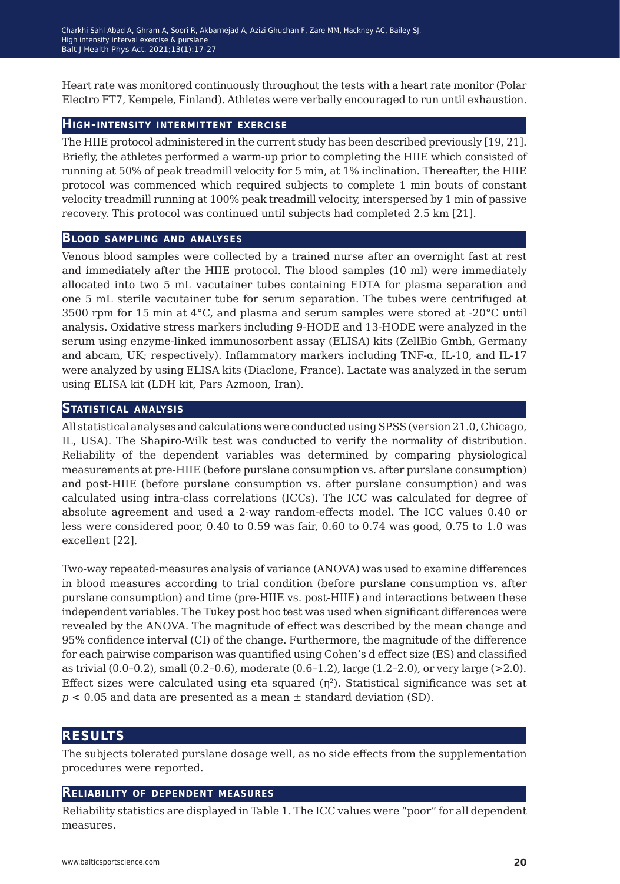Heart rate was monitored continuously throughout the tests with a heart rate monitor (Polar Electro FT7, Kempele, Finland). Athletes were verbally encouraged to run until exhaustion.

#### **High-intensity intermittent exercise**

The HIIE protocol administered in the current study has been described previously [19, 21]. Briefly, the athletes performed a warm-up prior to completing the HIIE which consisted of running at 50% of peak treadmill velocity for 5 min, at 1% inclination. Thereafter, the HIIE protocol was commenced which required subjects to complete 1 min bouts of constant velocity treadmill running at 100% peak treadmill velocity, interspersed by 1 min of passive recovery. This protocol was continued until subjects had completed 2.5 km [21].

#### **Blood sampling and analyses**

Venous blood samples were collected by a trained nurse after an overnight fast at rest and immediately after the HIIE protocol. The blood samples (10 ml) were immediately allocated into two 5 mL vacutainer tubes containing EDTA for plasma separation and one 5 mL sterile vacutainer tube for serum separation. The tubes were centrifuged at 3500 rpm for 15 min at 4°C, and plasma and serum samples were stored at -20°C until analysis. Oxidative stress markers including 9-HODE and 13-HODE were analyzed in the serum using enzyme-linked immunosorbent assay (ELISA) kits (ZellBio Gmbh, Germany and abcam, UK; respectively). Inflammatory markers including  $TNF-\alpha$ , IL-10, and IL-17 were analyzed by using ELISA kits (Diaclone, France). Lactate was analyzed in the serum using ELISA kit (LDH kit, Pars Azmoon, Iran).

#### **Statistical analysis**

All statistical analyses and calculations were conducted using SPSS (version 21.0, Chicago, IL, USA). The Shapiro-Wilk test was conducted to verify the normality of distribution. Reliability of the dependent variables was determined by comparing physiological measurements at pre-HIIE (before purslane consumption vs. after purslane consumption) and post-HIIE (before purslane consumption vs. after purslane consumption) and was calculated using intra-class correlations (ICCs). The ICC was calculated for degree of absolute agreement and used a 2-way random-effects model. The ICC values 0.40 or less were considered poor, 0.40 to 0.59 was fair, 0.60 to 0.74 was good, 0.75 to 1.0 was excellent [22].

Two-way repeated-measures analysis of variance (ANOVA) was used to examine differences in blood measures according to trial condition (before purslane consumption vs. after purslane consumption) and time (pre-HIIE vs. post-HIIE) and interactions between these independent variables. The Tukey post hoc test was used when significant differences were revealed by the ANOVA. The magnitude of effect was described by the mean change and 95% confidence interval (CI) of the change. Furthermore, the magnitude of the difference for each pairwise comparison was quantified using Cohen's d effect size (ES) and classified as trivial (0.0–0.2), small (0.2–0.6), moderate (0.6–1.2), large (1.2–2.0), or very large (>2.0). Effect sizes were calculated using eta squared  $(\eta^2)$ . Statistical significance was set at  $p < 0.05$  and data are presented as a mean  $\pm$  standard deviation (SD).

## **results**

The subjects tolerated purslane dosage well, as no side effects from the supplementation procedures were reported.

#### **Reliability of dependent measures**

Reliability statistics are displayed in Table 1. The ICC values were "poor" for all dependent measures.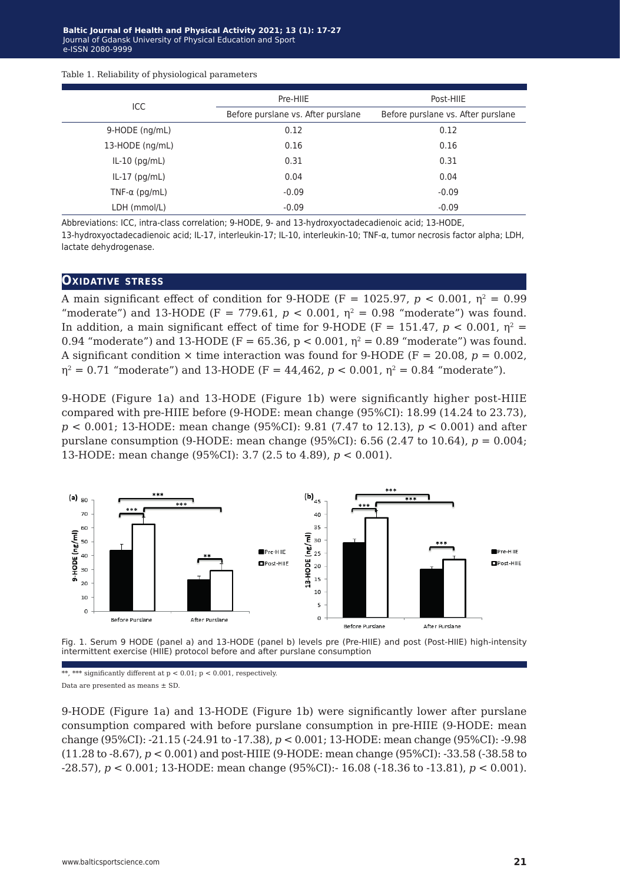|  |  |  |  | Table 1. Reliability of physiological parameters |
|--|--|--|--|--------------------------------------------------|
|--|--|--|--|--------------------------------------------------|

| Pre-HIIE                           | Post-HIIE                          |  |
|------------------------------------|------------------------------------|--|
| Before purslane vs. After purslane | Before purslane vs. After purslane |  |
| 0.12                               | 0.12                               |  |
| 0.16                               | 0.16                               |  |
| 0.31                               | 0.31                               |  |
| 0.04                               | 0.04                               |  |
| $-0.09$                            | $-0.09$                            |  |
| $-0.09$                            | $-0.09$                            |  |
|                                    |                                    |  |

Abbreviations: ICC, intra-class correlation; 9-HODE, 9- and 13-hydroxyoctadecadienoic acid; 13-HODE, 13-hydroxyoctadecadienoic acid; IL-17, interleukin-17; IL-10, interleukin-10; TNF-α, tumor necrosis factor alpha; LDH, lactate dehydrogenase.

#### **OXIDATIVE STRESS**

A main significant effect of condition for 9-HODE (F = 1025.97,  $p < 0.001$ ,  $\eta^2 = 0.99$ ) "moderate") and 13-HODE (F = 779.61,  $p < 0.001$ ,  $p<sup>2</sup> = 0.98$  "moderate") was found. In addition, a main significant effect of time for 9-HODE (F = 151.47,  $p < 0.001$ ,  $\eta^2$  = 0.94 "moderate") and 13-HODE (F = 65.36, p < 0.001,  $\eta^2$  = 0.89 "moderate") was found. A significant condition  $\times$  time interaction was found for 9-HODE (F = 20.08,  $p = 0.002$ )  $\eta^2 = 0.71$  "moderate") and 13-HODE (F = 44,462, p < 0.001,  $\eta^2 = 0.84$  "moderate").

9-HODE (Figure 1a) and 13-HODE (Figure 1b) were significantly higher post-HIIE compared with pre-HIIE before (9-HODE: mean change (95%CI): 18.99 (14.24 to 23.73), *p* < 0.001; 13-HODE: mean change (95%CI): 9.81 (7.47 to 12.13), *p* < 0.001) and after purslane consumption (9-HODE: mean change (95%CI): 6.56 (2.47 to 10.64), *p* = 0.004; 13-HODE: mean change (95%CI): 3.7 (2.5 to 4.89), *p* < 0.001).





\*\*, \*\*\* significantly different at  $p < 0.01$ ;  $p < 0.001$ , respectively. Data are presented as means ± SD.

9-HODE (Figure 1a) and 13-HODE (Figure 1b) were significantly lower after purslane consumption compared with before purslane consumption in pre-HIIE (9-HODE: mean change (95%CI): -21.15 (-24.91 to -17.38), *p* < 0.001; 13-HODE: mean change (95%CI): -9.98 (11.28 to -8.67), *p* < 0.001) and post-HIIE (9-HODE: mean change (95%CI): -33.58 (-38.58 to -28.57), *p* < 0.001; 13-HODE: mean change (95%CI):- 16.08 (-18.36 to -13.81), *p* < 0.001).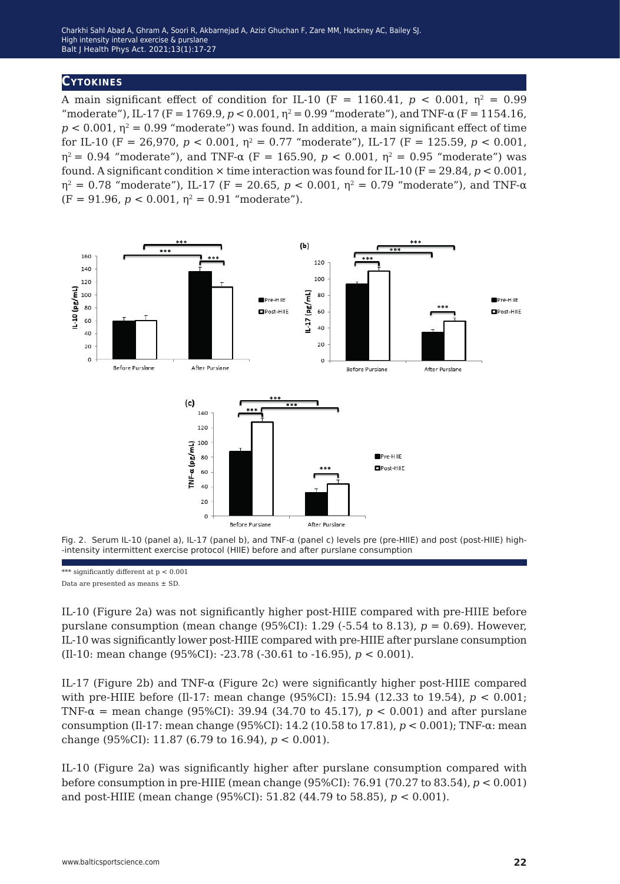### **Cytokines**

A main significant effect of condition for IL-10 (F = 1160.41,  $p < 0.001$ ,  $n^2 = 0.99$ ) "moderate"), IL-17 (F = 1769.9,  $p < 0.001$ ,  $n^2 = 0.99$  "moderate"), and TNF- $\alpha$  (F = 1154.16,  $p < 0.001$ ,  $p<sup>2</sup> = 0.99$  "moderate") was found. In addition, a main significant effect of time for IL-10 (F = 26,970,  $p < 0.001$ ,  $\eta^2 = 0.77$  "moderate"), IL-17 (F = 125.59,  $p < 0.001$ ,  $η<sup>2</sup> = 0.94$  "moderate"), and TNF- $α$  (F = 165.90,  $p < 0.001$ ,  $η<sup>2</sup> = 0.95$  "moderate") was found. A significant condition  $\times$  time interaction was found for IL-10 (F = 29.84,  $p < 0.001$ ,  $η<sup>2</sup> = 0.78$  "moderate"), IL-17 (F = 20.65, p < 0.001,  $η<sup>2</sup> = 0.79$  "moderate"), and TNF-α  $(F = 91.96, p < 0.001, \eta^2 = 0.91$  "moderate").



Fig. 2. Serum IL-10 (panel a), IL-17 (panel b), and TNF-α (panel c) levels pre (pre-HIIE) and post (post-HIIE) high- -intensity intermittent exercise protocol (HIIE) before and after purslane consumption

\*\*\* significantly different at  $p < 0.001$ 

Data are presented as means ± SD.

IL-10 (Figure 2a) was not significantly higher post-HIIE compared with pre-HIIE before purslane consumption (mean change  $(95\%CI)$ : 1.29 (-5.54 to 8.13),  $p = 0.69$ ). However, IL-10 was significantly lower post-HIIE compared with pre-HIIE after purslane consumption (Il-10: mean change (95%CI): -23.78 (-30.61 to -16.95), *p* < 0.001).

IL-17 (Figure 2b) and TNF- $\alpha$  (Figure 2c) were significantly higher post-HIIE compared with pre-HIIE before (Il-17: mean change (95%CI): 15.94 (12.33 to 19.54), *p* < 0.001; TNF-α = mean change (95%CI): 39.94 (34.70 to 45.17), *p* < 0.001) and after purslane consumption (Il-17: mean change (95%CI): 14.2 (10.58 to 17.81), *p* < 0.001); TNF-α: mean change (95%CI): 11.87 (6.79 to 16.94), *p* < 0.001).

IL-10 (Figure 2a) was significantly higher after purslane consumption compared with before consumption in pre-HIIE (mean change (95%CI): 76.91 (70.27 to 83.54), *p* < 0.001) and post-HIIE (mean change (95%CI): 51.82 (44.79 to 58.85), *p* < 0.001).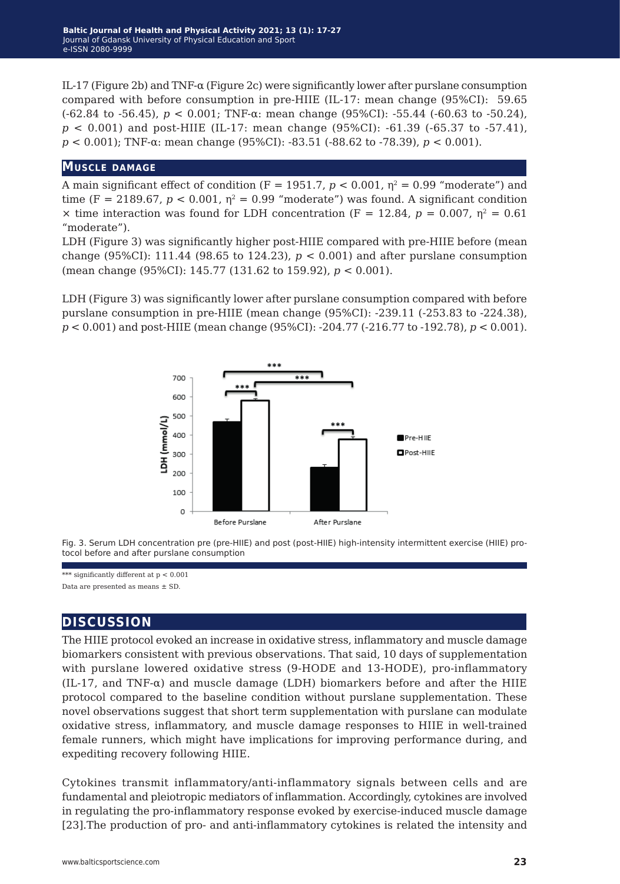IL-17 (Figure 2b) and TNF- $\alpha$  (Figure 2c) were significantly lower after purslane consumption compared with before consumption in pre-HIIE (IL-17: mean change (95%CI): 59.65 ( $-62.84$  to  $-56.45$ ),  $p < 0.001$ ; TNF- $\alpha$ : mean change (95%CI):  $-55.44$  ( $-60.63$  to  $-50.24$ ), *p* < 0.001) and post-HIIE (IL-17: mean change (95%CI): -61.39 (-65.37 to -57.41), *p* < 0.001); TNF-α: mean change (95%CI): -83.51 (-88.62 to -78.39), *p* < 0.001).

#### **Muscle damage**

A main significant effect of condition (F = 1951.7,  $p < 0.001$ ,  $n^2 = 0.99$  "moderate") and time (F = 2189.67,  $p < 0.001$ ,  $p^2 = 0.99$  "moderate") was found. A significant condition  $\times$  time interaction was found for LDH concentration (F = 12.84,  $p = 0.007$ ,  $p^2 = 0.61$ ) "moderate").

LDH (Figure 3) was significantly higher post-HIIE compared with pre-HIIE before (mean change (95%CI): 111.44 (98.65 to 124.23),  $p < 0.001$ ) and after purslane consumption (mean change (95%CI): 145.77 (131.62 to 159.92), *p* < 0.001).

LDH (Figure 3) was significantly lower after purslane consumption compared with before purslane consumption in pre-HIIE (mean change (95%CI): -239.11 (-253.83 to -224.38), *p* < 0.001) and post-HIIE (mean change (95%CI): -204.77 (-216.77 to -192.78), *p* < 0.001).



Fig. 3. Serum LDH concentration pre (pre-HIIE) and post (post-HIIE) high-intensity intermittent exercise (HIIE) protocol before and after purslane consumption

\*\*\* significantly different at  $p < 0.001$ Data are presented as means ± SD.

## **discussion**

The HIIE protocol evoked an increase in oxidative stress, inflammatory and muscle damage biomarkers consistent with previous observations. That said, 10 days of supplementation with purslane lowered oxidative stress (9-HODE and 13-HODE), pro-inflammatory (IL-17, and TNF- $\alpha$ ) and muscle damage (LDH) biomarkers before and after the HIIE protocol compared to the baseline condition without purslane supplementation. These novel observations suggest that short term supplementation with purslane can modulate oxidative stress, inflammatory, and muscle damage responses to HIIE in well-trained female runners, which might have implications for improving performance during, and expediting recovery following HIIE.

Cytokines transmit inflammatory/anti-inflammatory signals between cells and are fundamental and pleiotropic mediators of inflammation. Accordingly, cytokines are involved in regulating the pro-inflammatory response evoked by exercise-induced muscle damage [23].The production of pro- and anti-inflammatory cytokines is related the intensity and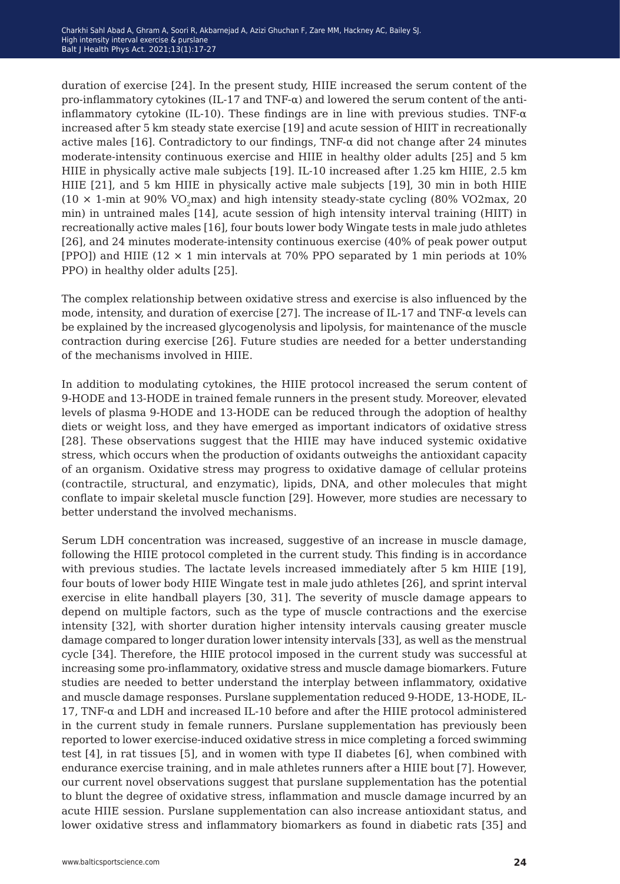duration of exercise [24]. In the present study, HIIE increased the serum content of the pro-inflammatory cytokines (IL-17 and TNF- $\alpha$ ) and lowered the serum content of the antiinflammatory cytokine (IL-10). These findings are in line with previous studies. TNF- $\alpha$ increased after 5 km steady state exercise [19] and acute session of HIIT in recreationally active males [16]. Contradictory to our findings, TNF- $\alpha$  did not change after 24 minutes moderate-intensity continuous exercise and HIIE in healthy older adults [25] and 5 km HIIE in physically active male subjects [19]. IL-10 increased after 1.25 km HIIE, 2.5 km HIIE [21], and 5 km HIIE in physically active male subjects [19], 30 min in both HIIE  $(10 \times 1$ -min at 90% VO<sub>2</sub>max) and high intensity steady-state cycling (80% VO2max, 20 min) in untrained males [14], acute session of high intensity interval training (HIIT) in recreationally active males [16], four bouts lower body Wingate tests in male judo athletes [26], and 24 minutes moderate-intensity continuous exercise (40% of peak power output [PPO]) and HIIE ( $12 \times 1$  min intervals at 70% PPO separated by 1 min periods at 10% PPO) in healthy older adults [25].

The complex relationship between oxidative stress and exercise is also influenced by the mode, intensity, and duration of exercise [27]. The increase of IL-17 and  $TNF-\alpha$  levels can be explained by the increased glycogenolysis and lipolysis, for maintenance of the muscle contraction during exercise [26]. Future studies are needed for a better understanding of the mechanisms involved in HIIE.

In addition to modulating cytokines, the HIIE protocol increased the serum content of 9-HODE and 13-HODE in trained female runners in the present study. Moreover, elevated levels of plasma 9-HODE and 13-HODE can be reduced through the adoption of healthy diets or weight loss, and they have emerged as important indicators of oxidative stress [28]. These observations suggest that the HIIE may have induced systemic oxidative stress, which occurs when the production of oxidants outweighs the antioxidant capacity of an organism. Oxidative stress may progress to oxidative damage of cellular proteins (contractile, structural, and enzymatic), lipids, DNA, and other molecules that might conflate to impair skeletal muscle function [29]. However, more studies are necessary to better understand the involved mechanisms.

Serum LDH concentration was increased, suggestive of an increase in muscle damage, following the HIIE protocol completed in the current study. This finding is in accordance with previous studies. The lactate levels increased immediately after 5 km HIIE [19], four bouts of lower body HIIE Wingate test in male judo athletes [26], and sprint interval exercise in elite handball players [30, 31]. The severity of muscle damage appears to depend on multiple factors, such as the type of muscle contractions and the exercise intensity [32], with shorter duration higher intensity intervals causing greater muscle damage compared to longer duration lower intensity intervals [33], as well as the menstrual cycle [34]. Therefore, the HIIE protocol imposed in the current study was successful at increasing some pro-inflammatory, oxidative stress and muscle damage biomarkers. Future studies are needed to better understand the interplay between inflammatory, oxidative and muscle damage responses. Purslane supplementation reduced 9-HODE, 13-HODE, IL-17, TNF-α and LDH and increased IL-10 before and after the HIIE protocol administered in the current study in female runners. Purslane supplementation has previously been reported to lower exercise-induced oxidative stress in mice completing a forced swimming test [4], in rat tissues [5], and in women with type II diabetes [6], when combined with endurance exercise training, and in male athletes runners after a HIIE bout [7]. However, our current novel observations suggest that purslane supplementation has the potential to blunt the degree of oxidative stress, inflammation and muscle damage incurred by an acute HIIE session. Purslane supplementation can also increase antioxidant status, and lower oxidative stress and inflammatory biomarkers as found in diabetic rats [35] and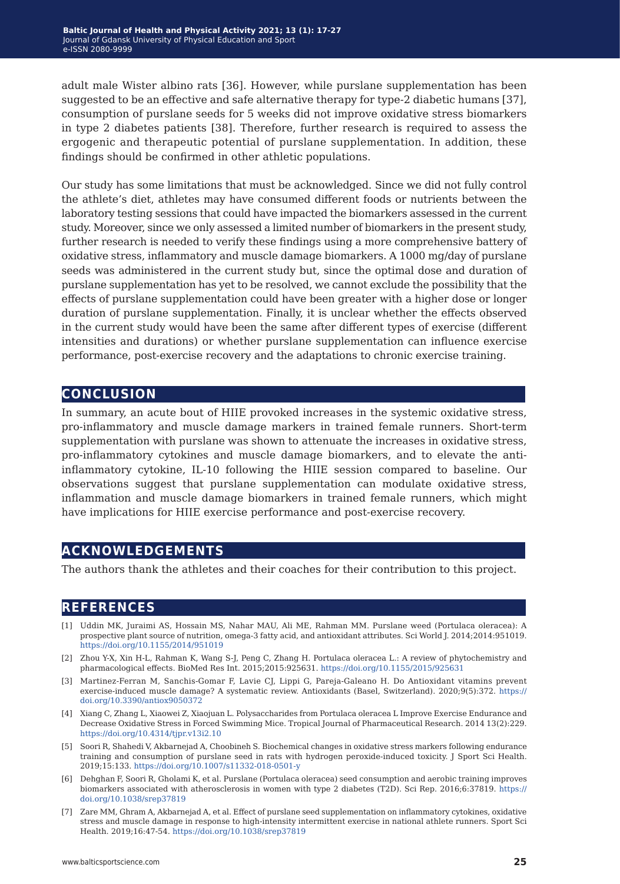adult male Wister albino rats [36]. However, while purslane supplementation has been suggested to be an effective and safe alternative therapy for type-2 diabetic humans [37], consumption of purslane seeds for 5 weeks did not improve oxidative stress biomarkers in type 2 diabetes patients [38]. Therefore, further research is required to assess the ergogenic and therapeutic potential of purslane supplementation. In addition, these findings should be confirmed in other athletic populations.

Our study has some limitations that must be acknowledged. Since we did not fully control the athlete's diet, athletes may have consumed different foods or nutrients between the laboratory testing sessions that could have impacted the biomarkers assessed in the current study. Moreover, since we only assessed a limited number of biomarkers in the present study, further research is needed to verify these findings using a more comprehensive battery of oxidative stress, inflammatory and muscle damage biomarkers. A 1000 mg/day of purslane seeds was administered in the current study but, since the optimal dose and duration of purslane supplementation has yet to be resolved, we cannot exclude the possibility that the effects of purslane supplementation could have been greater with a higher dose or longer duration of purslane supplementation. Finally, it is unclear whether the effects observed in the current study would have been the same after different types of exercise (different intensities and durations) or whether purslane supplementation can influence exercise performance, post-exercise recovery and the adaptations to chronic exercise training.

# **conclusion**

In summary, an acute bout of HIIE provoked increases in the systemic oxidative stress, pro-inflammatory and muscle damage markers in trained female runners. Short-term supplementation with purslane was shown to attenuate the increases in oxidative stress, pro-inflammatory cytokines and muscle damage biomarkers, and to elevate the antiinflammatory cytokine, IL-10 following the HIIE session compared to baseline. Our observations suggest that purslane supplementation can modulate oxidative stress, inflammation and muscle damage biomarkers in trained female runners, which might have implications for HIIE exercise performance and post-exercise recovery.

# **acknowledgements**

The authors thank the athletes and their coaches for their contribution to this project.

## **references**

- [1] Uddin MK, Juraimi AS, Hossain MS, Nahar MAU, Ali ME, Rahman MM. Purslane weed (Portulaca oleracea): A prospective plant source of nutrition, omega-3 fatty acid, and antioxidant attributes. Sci World J. 2014;2014:951019. <https://doi.org/10.1155/2014/951019>
- [2] Zhou Y-X, Xin H-L, Rahman K, Wang S-J, Peng C, Zhang H. Portulaca oleracea L.: A review of phytochemistry and pharmacological effects. BioMed Res Int. 2015;2015:925631.<https://doi.org/10.1155/2015/925631>
- [3] Martinez-Ferran M, Sanchis-Gomar F, Lavie CJ, Lippi G, Pareja-Galeano H. Do Antioxidant vitamins prevent exercise-induced muscle damage? A systematic review. Antioxidants (Basel, Switzerland). 2020;9(5):372. [https://](https://doi.org/10.3390/antiox9050372 ) [doi.org/10.3390/antiox9050372](https://doi.org/10.3390/antiox9050372 )
- [4] Xiang C, Zhang L, Xiaowei Z, Xiaojuan L. Polysaccharides from Portulaca oleracea L Improve Exercise Endurance and Decrease Oxidative Stress in Forced Swimming Mice. Tropical Journal of Pharmaceutical Research. 2014 13(2):229. <https://doi.org/10.4314/tjpr.v13i2.10>
- [5] Soori R, Shahedi V, Akbarnejad A, Choobineh S. Biochemical changes in oxidative stress markers following endurance training and consumption of purslane seed in rats with hydrogen peroxide-induced toxicity. J Sport Sci Health. 2019;15:133. <https://doi.org/10.1007/s11332-018-0501-y>
- [6] Dehghan F, Soori R, Gholami K, et al. Purslane (Portulaca oleracea) seed consumption and aerobic training improves biomarkers associated with atherosclerosis in women with type 2 diabetes (T2D). Sci Rep. 2016;6:37819. [https://](https://doi.org/10.1038/srep37819 ) [doi.org/10.1038/srep37819](https://doi.org/10.1038/srep37819 )
- [7] Zare MM, Ghram A, Akbarnejad A, et al. Effect of purslane seed supplementation on inflammatory cytokines, oxidative stress and muscle damage in response to high-intensity intermittent exercise in national athlete runners. Sport Sci Health. 2019;16:47-54. <https://doi.org/10.1038/srep37819>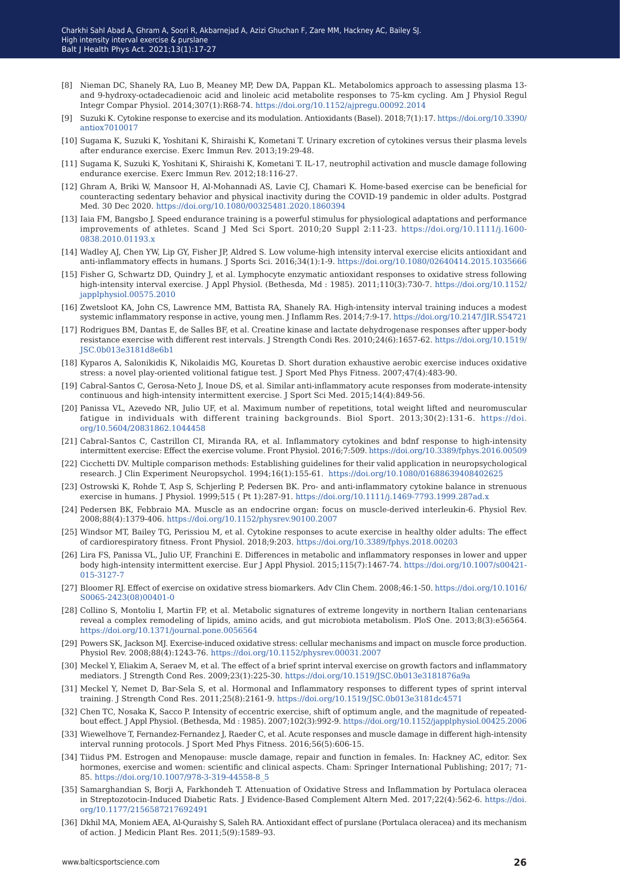- [8] Nieman DC, Shanely RA, Luo B, Meaney MP, Dew DA, Pappan KL. Metabolomics approach to assessing plasma 13 and 9-hydroxy-octadecadienoic acid and linoleic acid metabolite responses to 75-km cycling. Am J Physiol Regul Integr Compar Physiol. 2014;307(1):R68-74. <https://doi.org/10.1152/ajpregu.00092.2014>
- [9] Suzuki K. Cytokine response to exercise and its modulation. Antioxidants (Basel). 2018;7(1):17. [https://doi.org/10.3390/](https://doi.org/10.3390/antiox7010017 ) [antiox7010017](https://doi.org/10.3390/antiox7010017 )
- [10] Sugama K, Suzuki K, Yoshitani K, Shiraishi K, Kometani T. Urinary excretion of cytokines versus their plasma levels after endurance exercise. Exerc Immun Rev. 2013;19:29-48.
- [11] Sugama K, Suzuki K, Yoshitani K, Shiraishi K, Kometani T. IL-17, neutrophil activation and muscle damage following endurance exercise. Exerc Immun Rev. 2012;18:116-27.
- [12] Ghram A, Briki W, Mansoor H, Al-Mohannadi AS, Lavie CJ, Chamari K. Home-based exercise can be beneficial for counteracting sedentary behavior and physical inactivity during the COVID-19 pandemic in older adults. Postgrad Med. 30 Dec 2020. <https://doi.org/10.1080/00325481.2020.1860394>
- [13] Iaia FM, Bangsbo J. Speed endurance training is a powerful stimulus for physiological adaptations and performance improvements of athletes. Scand J Med Sci Sport. 2010;20 Suppl 2:11-23. [https://doi.org/10.1111/j.1600-](https://doi.org/10.1111/j.1600-0838.2010.01193.x ) [0838.2010.01193.x](https://doi.org/10.1111/j.1600-0838.2010.01193.x )
- [14] Wadley AJ, Chen YW, Lip GY, Fisher JP, Aldred S. Low volume-high intensity interval exercise elicits antioxidant and anti-inflammatory effects in humans. J Sports Sci. 2016;34(1):1-9. [https://doi.org/10.1080/02640414.2015.1035666](https://doi.org/10.1080/02640414.2015.1035666 )
- [15] Fisher G, Schwartz DD, Quindry J, et al. Lymphocyte enzymatic antioxidant responses to oxidative stress following high-intensity interval exercise. J Appl Physiol. (Bethesda, Md : 1985). 2011;110(3):730-7. [https://doi.org/10.1152/](https://doi.org/10.1152/japplphysiol.00575.2010) [japplphysiol.00575.2010](https://doi.org/10.1152/japplphysiol.00575.2010)
- [16] Zwetsloot KA, John CS, Lawrence MM, Battista RA, Shanely RA. High-intensity interval training induces a modest systemic inflammatory response in active, young men. J Inflamm Res. 2014;7:9-17. [https://doi.org/10.2147/JIR.S54721](https://doi.org/10.2147/JIR.S54721 )
- [17] Rodrigues BM, Dantas E, de Salles BF, et al. Creatine kinase and lactate dehydrogenase responses after upper-body resistance exercise with different rest intervals. J Strength Condi Res. 2010;24(6):1657-62. [https://doi.org/10.1519/](https://doi.org/10.1519/JSC.0b013e3181d8e6b1 ) [JSC.0b013e3181d8e6b1](https://doi.org/10.1519/JSC.0b013e3181d8e6b1 )
- [18] Kyparos A, Salonikidis K, Nikolaidis MG, Kouretas D. Short duration exhaustive aerobic exercise induces oxidative stress: a novel play-oriented volitional fatigue test. J Sport Med Phys Fitness. 2007;47(4):483-90.
- [19] Cabral-Santos C, Gerosa-Neto J, Inoue DS, et al. Similar anti-inflammatory acute responses from moderate-intensity continuous and high-intensity intermittent exercise. J Sport Sci Med. 2015;14(4):849-56.
- [20] Panissa VL, Azevedo NR, Julio UF, et al. Maximum number of repetitions, total weight lifted and neuromuscular fatigue in individuals with different training backgrounds. Biol Sport. 2013;30(2):131-6. [https://doi.](https://doi.org/10.5604/20831862.1044458 ) [org/10.5604/20831862.1044458](https://doi.org/10.5604/20831862.1044458 )
- [21] Cabral-Santos C, Castrillon CI, Miranda RA, et al. Inflammatory cytokines and bdnf response to high-intensity intermittent exercise: Effect the exercise volume. Front Physiol. 2016;7:509. [https://doi.org/10.3389/fphys.2016.00509](https://doi.org/10.3389/fphys.2016.00509 )
- [22] Cicchetti DV. Multiple comparison methods: Establishing guidelines for their valid application in neuropsychological research. J Clin Experiment Neuropsychol. 1994;16(1):155-61. [https://doi.org/10.1080/01688639408402625](https://doi.org/10.1080/01688639408402625 )
- [23] Ostrowski K, Rohde T, Asp S, Schjerling P, Pedersen BK. Pro- and anti-inflammatory cytokine balance in strenuous exercise in humans. J Physiol. 1999;515 ( Pt 1):287-91.<https://doi.org/10.1111/j.1469-7793.1999.287ad.x>
- [24] Pedersen BK, Febbraio MA. Muscle as an endocrine organ: focus on muscle-derived interleukin-6. Physiol Rev. 2008;88(4):1379-406. <https://doi.org/10.1152/physrev.90100.2007>
- [25] Windsor MT, Bailey TG, Perissiou M, et al. Cytokine responses to acute exercise in healthy older adults: The effect of cardiorespiratory fitness. Front Physiol. 2018;9:203.<https://doi.org/10.3389/fphys.2018.00203>
- [26] Lira FS, Panissa VL, Julio UF, Franchini E. Differences in metabolic and inflammatory responses in lower and upper body high-intensity intermittent exercise. Eur J Appl Physiol. 2015;115(7):1467-74. [https://doi.org/10.1007/s00421-](https://doi.org/10.1007/s00421-015-3127-7 ) [015-3127-7](https://doi.org/10.1007/s00421-015-3127-7 )
- [27] Bloomer RJ. Effect of exercise on oxidative stress biomarkers. Adv Clin Chem. 2008;46:1-50. [https://doi.org/10.1016/](https://doi.org/10.1016/S0065-2423(08)00401-0 ) [S0065-2423\(08\)00401-0](https://doi.org/10.1016/S0065-2423(08)00401-0 )
- [28] Collino S, Montoliu I, Martin FP, et al. Metabolic signatures of extreme longevity in northern Italian centenarians reveal a complex remodeling of lipids, amino acids, and gut microbiota metabolism. PloS One. 2013;8(3):e56564. <https://doi.org/10.1371/journal.pone.0056564>
- [29] Powers SK, Jackson MJ. Exercise-induced oxidative stress: cellular mechanisms and impact on muscle force production. Physiol Rev. 2008;88(4):1243-76. <https://doi.org/10.1152/physrev.00031.2007>
- [30] Meckel Y, Eliakim A, Seraev M, et al. The effect of a brief sprint interval exercise on growth factors and inflammatory mediators. J Strength Cond Res. 2009;23(1):225-30. <https://doi.org/10.1519/JSC.0b013e3181876a9a>
- [31] Meckel Y, Nemet D, Bar-Sela S, et al. Hormonal and Inflammatory responses to different types of sprint interval training. J Strength Cond Res. 2011;25(8):2161-9.<https://doi.org/10.1519/JSC.0b013e3181dc4571>
- [32] Chen TC, Nosaka K, Sacco P. Intensity of eccentric exercise, shift of optimum angle, and the magnitude of repeatedbout effect. J Appl Physiol. (Bethesda, Md : 1985). 2007;102(3):992-9. [https://doi.org/10.1152/japplphysiol.00425.2006](https://doi.org/10.1152/japplphysiol.00425.2006 )
- [33] Wiewelhove T, Fernandez-Fernandez J, Raeder C, et al. Acute responses and muscle damage in different high-intensity interval running protocols. J Sport Med Phys Fitness. 2016;56(5):606-15.
- [34] Tiidus PM. Estrogen and Menopause: muscle damage, repair and function in females. In: Hackney AC, editor. Sex hormones, exercise and women: scientific and clinical aspects. Cham: Springer International Publishing; 2017; 71- 85. [https://doi.org/10.1007/978-3-319-44558-8\\_5](https://doi.org/10.1007/978-3-319-44558-8_5)
- [35] Samarghandian S, Borji A, Farkhondeh T. Attenuation of Oxidative Stress and Inflammation by Portulaca oleracea in Streptozotocin-Induced Diabetic Rats. J Evidence-Based Complement Altern Med. 2017;22(4):562-6[. https://doi.]( https://doi.org/10.1177/2156587217692491) [org/10.1177/2156587217692491]( https://doi.org/10.1177/2156587217692491)
- [36] Dkhil MA, Moniem AEA, Al-Quraishy S, Saleh RA. Antioxidant effect of purslane (Portulaca oleracea) and its mechanism of action. J Medicin Plant Res. 2011;5(9):1589–93.